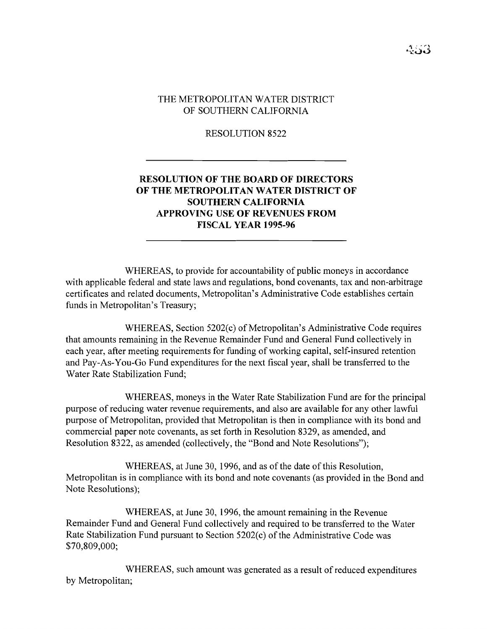RESOLUTION 8522

## **RESOLUTION OF THE BOARD OF DIRECTORS OF THE METROPOLITAN WATER DISTRICT OF SOUTHERN CALIFORNIA APPROVING USE OF REVENUES FROM FISCAL YEAR 1995-96**

WHEREAS, to provide for accountability of public moneys in accordance with applicable federal and state laws and regulations, bond covenants, tax and non-arbitrage certificates and related documents, Metropolitan's Administrative Code establishes certain funds in Metropolitan's Treasury;

WHEREAS, Section 5202(c) of Metropolitan's Administrative Code requires that amounts remaining in the Revenue Remainder Fund and General Fund collectively in each year, after meeting requirements for funding of working capital, self-insured retention and Pay-As-You-Go Fund expenditures for the next fiscal year, shall be transferred to the Water Rate Stabilization Fund;

WHEREAS, moneys in the Water Rate Stabilization Fund are for the principal purpose of reducing water revenue requirements, and also are available for any other lawful purpose of Metropolitan, provided that Metropolitan is then in compliance with its bond and commercial paper note covenants, as set forth in Resolution 8329, as amended, and Resolution 8322, as amended (collectively, the "Bond and Note Resolutions");

WHEREAS, at June 30, 1996, and as of the date of this Resolution, Metropolitan is in compliance with its bond and note covenants (as provided in the Bond and Note Resolutions);

WHEREAS, at June 30, 1996, the amount remaining in the Revenue Remainder Fund and General Fund collectively and required to be transferred to the Water Rate Stabilization Fund pursuant to Section 5202(c) of the Administrative Code was \$70,809,000;

WHEREAS, such amount was generated as a result of reduced expenditures by Metropolitan;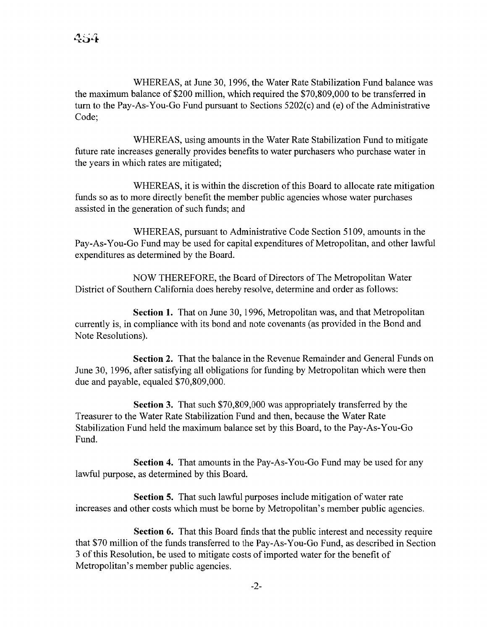WHEREAS, at June 30, 1996, the Water Rate Stabilization Fund balance was the maximum balance of \$200 million, which required the \$70,809,000 to be transferred in turn to the Pay-As-You-Go Fund pursuant to Sections  $5202(c)$  and  $(e)$  of the Administrative Code;

WHEREAS, using amounts in the Water Rate Stabilization Fund to mitigate future rate increases generally provides benefits to water purchasers who purchase water in the years in which rates are mitigated;

WHEREAS, it is within the discretion of this Board to allocate rate mitigation funds so as to more directly benefit the member public agencies whose water purchases assisted in the generation of such funds; and

WHEREAS, pursuant to Administrative Code Section 5109, amounts in the Pay-As-You-Go Fund may be used for capital expenditures of Metropolitan, and other lawful expenditures as determined by the Board.

NOW THEREFORE, the Board of Directors of The Metropolitan Water District of Southern California does hereby resolve, determine and order as follows:

**Section 1.** That on June 30, 1996, Metropolitan was, and that Metropolitan currently is, in compliance with its bond and note covenants (as provided in the Bond and Note Resolutions).

**Section 2.** That the balance in the Revenue Remainder and General Funds on June 30, 1996, after satisfying all obligations for funding by Metropolitan which were then due and payable, equaled \$70,809,000.

**Section 3.** That such \$70,809,000 was appropriately transferred by the Treasurer to the Water Rate Stabilization Fund and then, because the Water Rate Stabilization Fund held the maximum balance set by this Board, to the Pay-As-You-Go Fund.

**Section 4.** That amounts in the Pay-As-You-Go Fund may be used for any lawful purpose, as determined by this Board.

**Section 5.** That such lawful purposes include mitigation of water rate increases and other costs which must be borne by Metropolitan's member public agencies.

**Section 6.** That this Board finds that the public interest and necessity require that \$70 million of the funds transferred to the Pay-As-You-Go Fund, as described in Section 3 of this Resolution, be used to mitigate costs of imported water for the benefit of Metropolitan's member public agencies.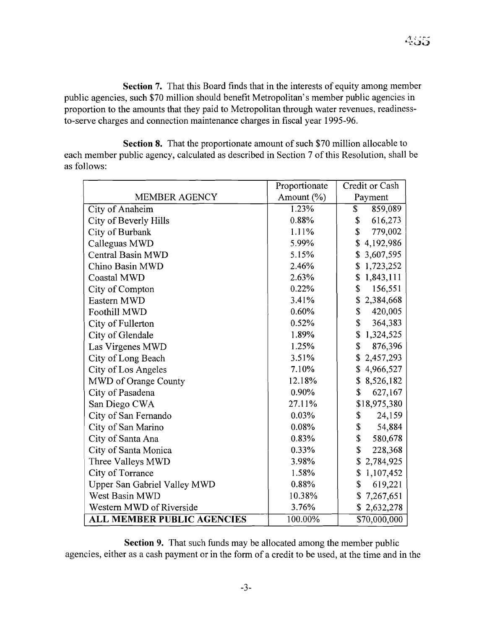**Section 7.** That this Board finds that in the interests of equity among member public agencies, such \$70 million should benefit Metropolitan's member public agencies in proportion to the amounts that they paid to Metropolitan through water revenues, readinessto-serve charges and connection maintenance charges in fiscal year 1995-96.

**Section 8.** That the proportionate amount of such \$70 million allocable to each member public agency, calculated as described in Section 7 of this Resolution, shall be as follows:

|                                   | Proportionate | Credit or Cash  |
|-----------------------------------|---------------|-----------------|
| <b>MEMBER AGENCY</b>              | Amount (%)    | Payment         |
| City of Anaheim                   | 1.23%         | \$<br>859,089   |
| <b>City of Beverly Hills</b>      | 0.88%         | 616,273<br>\$   |
| City of Burbank                   | 1.11%         | \$<br>779,002   |
| Calleguas MWD                     | 5.99%         | 4,192,986<br>\$ |
| <b>Central Basin MWD</b>          | 5.15%         | 3,607,595<br>\$ |
| Chino Basin MWD                   | 2.46%         | 1,723,252<br>\$ |
| <b>Coastal MWD</b>                | 2.63%         | 1,843,111<br>\$ |
| City of Compton                   | 0.22%         | \$<br>156,551   |
| Eastern MWD                       | 3.41%         | 2,384,668<br>\$ |
| Foothill MWD                      | 0.60%         | \$<br>420,005   |
| City of Fullerton                 | 0.52%         | \$<br>364,383   |
| City of Glendale                  | 1.89%         | \$<br>1,324,525 |
| Las Virgenes MWD                  | 1.25%         | \$<br>876,396   |
| City of Long Beach                | 3.51%         | 2,457,293<br>S  |
| City of Los Angeles               | 7.10%         | \$4,966,527     |
| MWD of Orange County              | 12.18%        | \$8,526,182     |
| City of Pasadena                  | 0.90%         | \$<br>627,167   |
| San Diego CWA                     | 27.11%        | \$18,975,380    |
| City of San Fernando              | 0.03%         | \$<br>24,159    |
| City of San Marino                | 0.08%         | \$<br>54,884    |
| City of Santa Ana                 | 0.83%         | \$<br>580,678   |
| City of Santa Monica              | 0.33%         | \$<br>228,368   |
| Three Valleys MWD                 | 3.98%         | 2,784,925<br>\$ |
| City of Torrance                  | 1.58%         | \$<br>1,107,452 |
| Upper San Gabriel Valley MWD      | 0.88%         | \$<br>619,221   |
| West Basin MWD                    | 10.38%        | 7,267,651<br>\$ |
| Western MWD of Riverside          | 3.76%         | \$2,632,278     |
| <b>ALL MEMBER PUBLIC AGENCIES</b> | 100.00%       | \$70,000,000    |

**Section 9.** That such funds may be allocated among the member public agencies, either as a cash payment or in the form of a credit to be used, at the time and in the